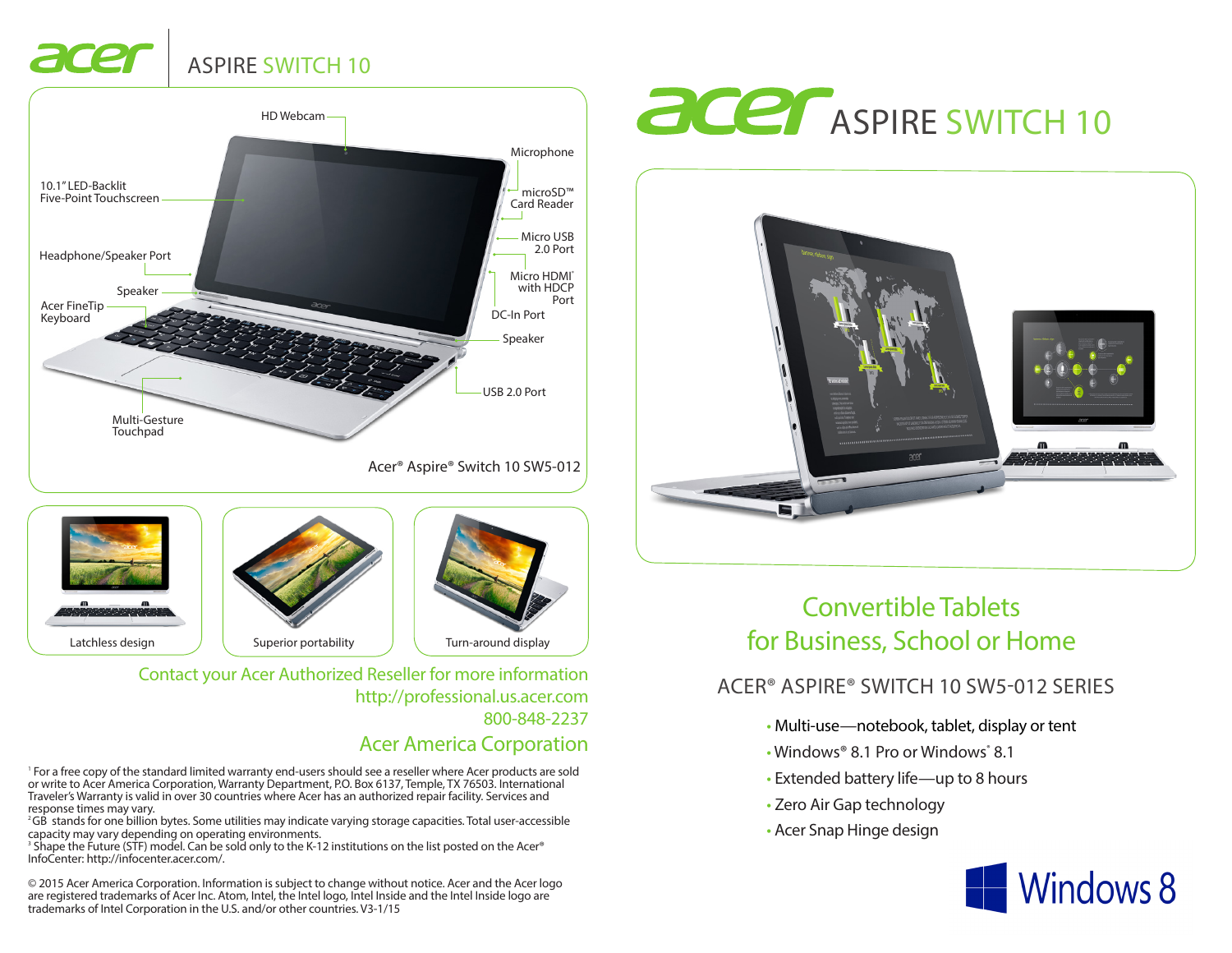# ASPIRE SWITCH 10

ace





Contact your Acer Authorized Reseller for more information http://professional.us.acer.com 800-848-2237

## Acer America Corporation

1 For a free copy of the standard limited warranty end-users should see a reseller where Acer products are sold or write to Acer America Corporation, Warranty Department, P.O. Box 6137, Temple, TX 76503. International Traveler's Warranty is valid in over 30 countries where Acer has an authorized repair facility. Services and response times may vary.

2 GB stands for one billion bytes. Some utilities may indicate varying storage capacities. Total user-accessible capacity may vary depending on operating environments.

3 Shape the Future (STF) model. Can be sold only to the K-12 institutions on the list posted on the Acer® InfoCenter: http://infocenter.acer.com/.

© 2015 Acer America Corporation. Information is subject to change without notice. Acer and the Acer logo are registered trademarks of Acer Inc. Atom, Intel, the Intel logo, Intel Inside and the Intel Inside logo are trademarks of Intel Corporation in the U.S. and/or other countries. V3-1/15





# Convertible Tablets for Business, School or Home

## ACER® ASPIRE® SWITCH 10 SW5-012 SERIES

- Multi-use—notebook, tablet, display or tent
- Windows® 8.1 Pro or Windows 8.1
- Extended battery life—up to 8 hours
- Zero Air Gap technology
- Acer Snap Hinge design